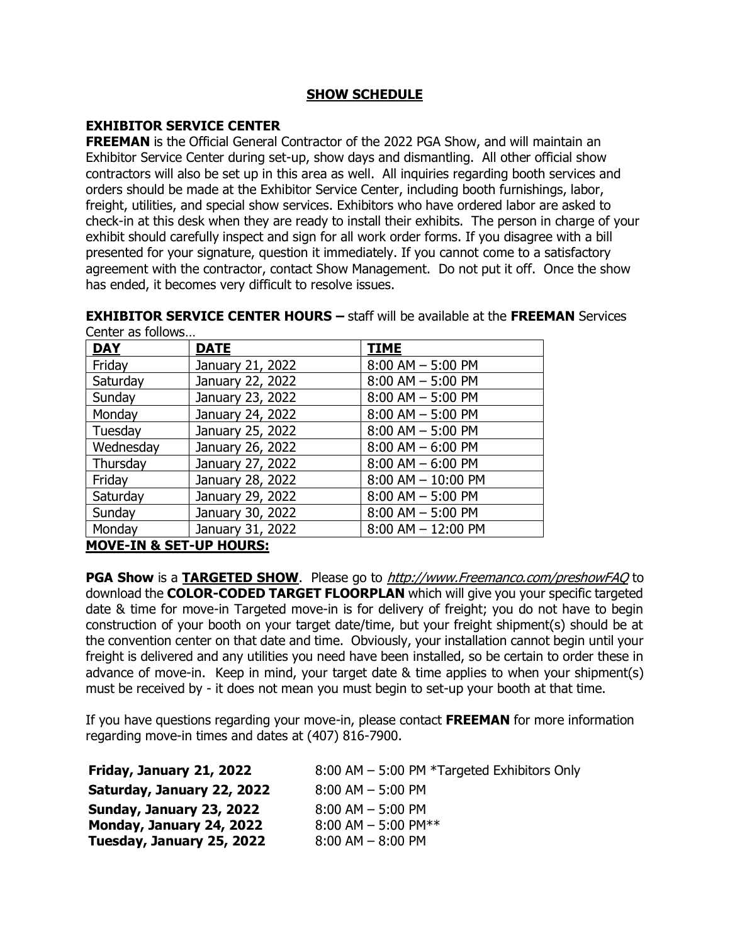# **SHOW SCHEDULE**

# **EXHIBITOR SERVICE CENTER**

**FREEMAN** is the Official General Contractor of the 2022 PGA Show, and will maintain an Exhibitor Service Center during set-up, show days and dismantling. All other official show contractors will also be set up in this area as well. All inquiries regarding booth services and orders should be made at the Exhibitor Service Center, including booth furnishings, labor, freight, utilities, and special show services. Exhibitors who have ordered labor are asked to check-in at this desk when they are ready to install their exhibits. The person in charge of your exhibit should carefully inspect and sign for all work order forms. If you disagree with a bill presented for your signature, question it immediately. If you cannot come to a satisfactory agreement with the contractor, contact Show Management. Do not put it off. Once the show has ended, it becomes very difficult to resolve issues.

**EXHIBITOR SERVICE CENTER HOURS –** staff will be available at the **FREEMAN** Services Center as follows…

| <b>DAY</b>                 | <b>DATE</b>      | <b>TIME</b>            |
|----------------------------|------------------|------------------------|
| Friday                     | January 21, 2022 | $8:00$ AM $-$ 5:00 PM  |
| Saturday                   | January 22, 2022 | $8:00$ AM $-$ 5:00 PM  |
| Sunday                     | January 23, 2022 | $8:00$ AM $-$ 5:00 PM  |
| Monday                     | January 24, 2022 | $8:00$ AM $-$ 5:00 PM  |
| Tuesday                    | January 25, 2022 | $8:00$ AM $-$ 5:00 PM  |
| Wednesday                  | January 26, 2022 | $8:00$ AM $-6:00$ PM   |
| Thursday                   | January 27, 2022 | $8:00$ AM $-6:00$ PM   |
| Friday                     | January 28, 2022 | $8:00$ AM $- 10:00$ PM |
| Saturday                   | January 29, 2022 | $8:00$ AM $-$ 5:00 PM  |
| Sunday                     | January 30, 2022 | $8:00$ AM $-$ 5:00 PM  |
| Monday                     | January 31, 2022 | $8:00$ AM $- 12:00$ PM |
| MOVE TH 9. CET IID HOLIDG. |                  |                        |

**MOVE-IN & SET-UP HOURS:**

**PGA Show** is a **TARGETED SHOW**. Please go to http://www.Freemanco.com/preshowFAQ to download the **COLOR-CODED TARGET FLOORPLAN** which will give you your specific targeted date & time for move-in Targeted move-in is for delivery of freight; you do not have to begin construction of your booth on your target date/time, but your freight shipment(s) should be at the convention center on that date and time. Obviously, your installation cannot begin until your freight is delivered and any utilities you need have been installed, so be certain to order these in advance of move-in. Keep in mind, your target date & time applies to when your shipment(s) must be received by - it does not mean you must begin to set-up your booth at that time.

If you have questions regarding your move-in, please contact **FREEMAN** for more information regarding move-in times and dates at (407) 816-7900.

| Friday, January 21, 2022   | 8:00 AM - 5:00 PM *Targeted Exhibitors Only |
|----------------------------|---------------------------------------------|
| Saturday, January 22, 2022 | $8:00$ AM $-5:00$ PM                        |
| Sunday, January 23, 2022   | $8:00$ AM $-5:00$ PM                        |
| Monday, January 24, 2022   | 8:00 AM $-$ 5:00 PM**                       |
| Tuesday, January 25, 2022  | $8:00$ AM $-$ 8:00 PM                       |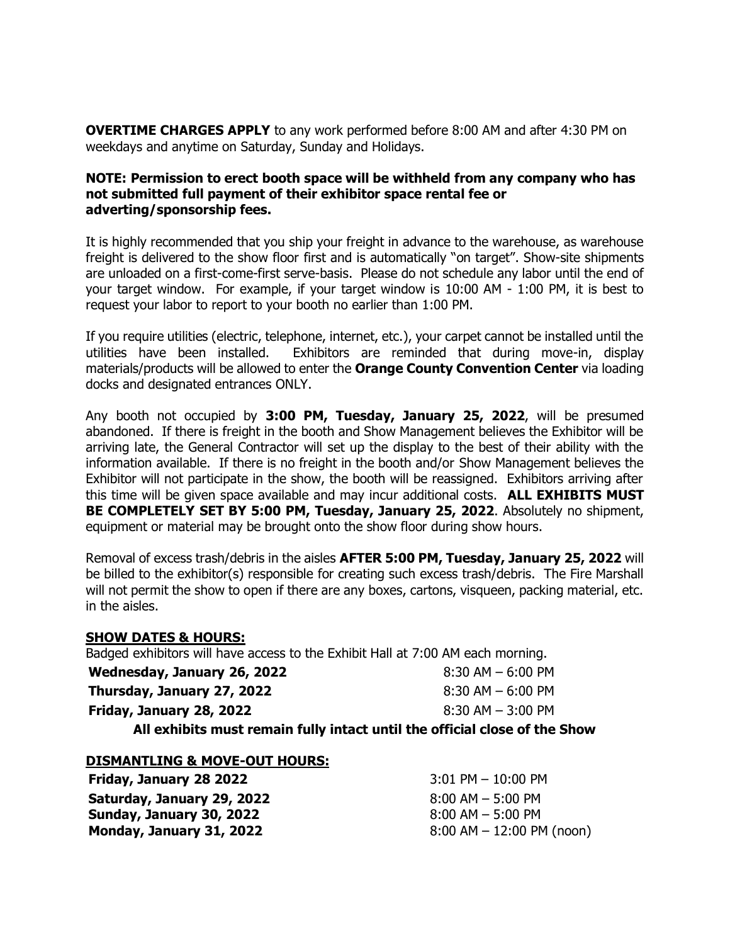**OVERTIME CHARGES APPLY** to any work performed before 8:00 AM and after 4:30 PM on weekdays and anytime on Saturday, Sunday and Holidays.

### **NOTE: Permission to erect booth space will be withheld from any company who has not submitted full payment of their exhibitor space rental fee or adverting/sponsorship fees.**

It is highly recommended that you ship your freight in advance to the warehouse, as warehouse freight is delivered to the show floor first and is automatically "on target". Show-site shipments are unloaded on a first-come-first serve-basis. Please do not schedule any labor until the end of your target window. For example, if your target window is 10:00 AM - 1:00 PM, it is best to request your labor to report to your booth no earlier than 1:00 PM.

If you require utilities (electric, telephone, internet, etc.), your carpet cannot be installed until the utilities have been installed. Exhibitors are reminded that during move-in, display materials/products will be allowed to enter the **Orange County Convention Center** via loading docks and designated entrances ONLY.

Any booth not occupied by **3:00 PM, Tuesday, January 25, 2022**, will be presumed abandoned. If there is freight in the booth and Show Management believes the Exhibitor will be arriving late, the General Contractor will set up the display to the best of their ability with the information available. If there is no freight in the booth and/or Show Management believes the Exhibitor will not participate in the show, the booth will be reassigned. Exhibitors arriving after this time will be given space available and may incur additional costs. **ALL EXHIBITS MUST BE COMPLETELY SET BY 5:00 PM, Tuesday, January 25, 2022**. Absolutely no shipment, equipment or material may be brought onto the show floor during show hours.

Removal of excess trash/debris in the aisles **AFTER 5:00 PM, Tuesday, January 25, 2022** will be billed to the exhibitor(s) responsible for creating such excess trash/debris. The Fire Marshall will not permit the show to open if there are any boxes, cartons, visqueen, packing material, etc. in the aisles.

### **SHOW DATES & HOURS:**

Badged exhibitors will have access to the Exhibit Hall at 7:00 AM each morning.

**Wednesday, January 26, 2022** 8:30 AM – 6:00 PM **Thursday, January 27, 2022** 8:30 AM – 6:00 PM **Friday, January 28, 2022** 8:30 AM – 3:00 PM **All exhibits must remain fully intact until the official close of the Show**

### **DISMANTLING & MOVE-OUT HOURS:**

**Friday, January 28 2022** 3:01 PM – 10:00 PM **Saturday, January 29, 2022 Sunday, January 30, 2022 Monday, January 31, 2022**

8:00 AM – 5:00 PM 8:00 AM – 5:00 PM 8:00 AM – 12:00 PM (noon)